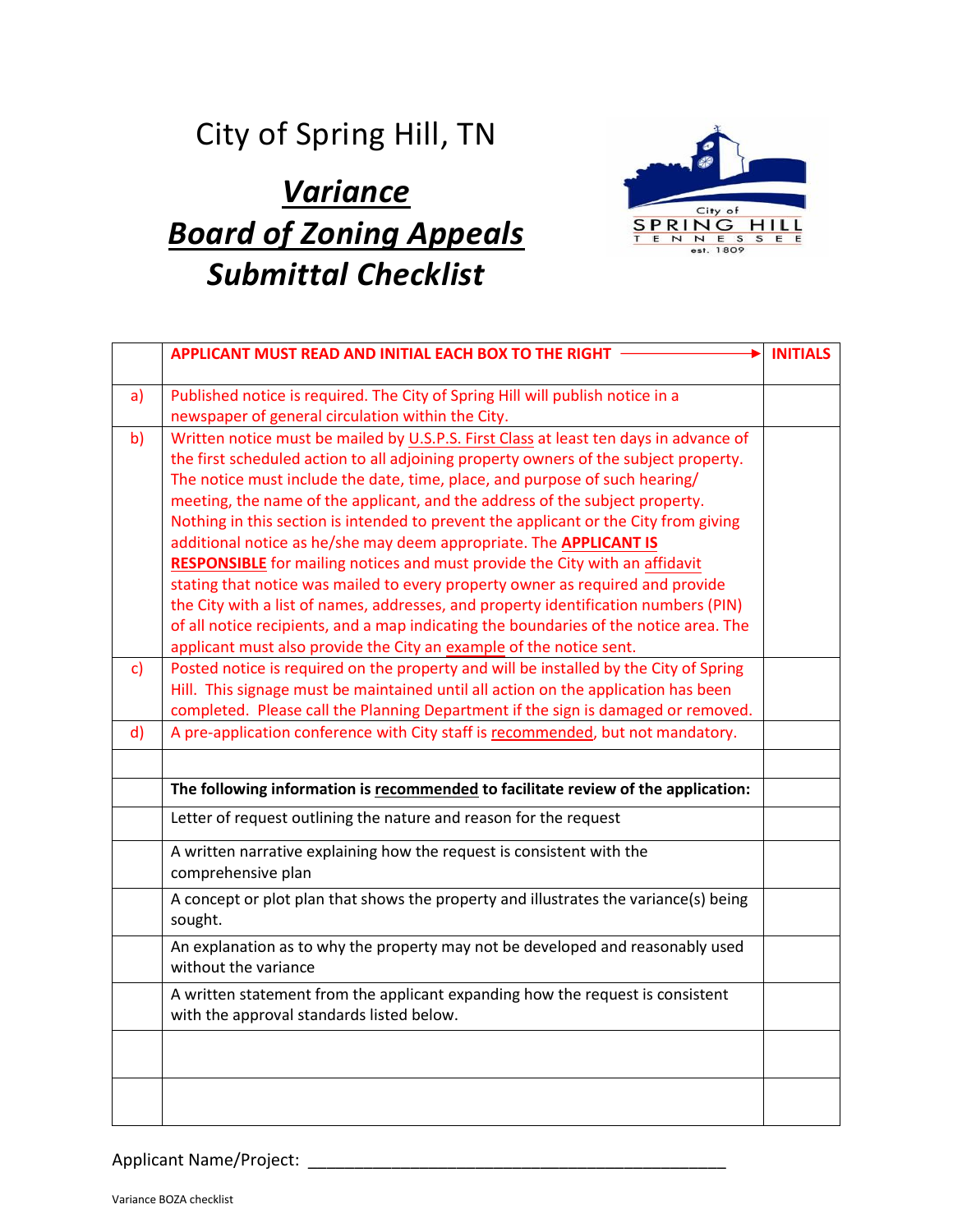## City of Spring Hill, TN

## *Variance Board of Zoning Appeals Submittal Checklist*



|              | APPLICANT MUST READ AND INITIAL EACH BOX TO THE RIGHT                                                                                                                                                                                                                                                                                                                                                                                                                                                                                                                                                                                                                                                                                                                                                                                                                                                                                     | <b>INITIALS</b> |
|--------------|-------------------------------------------------------------------------------------------------------------------------------------------------------------------------------------------------------------------------------------------------------------------------------------------------------------------------------------------------------------------------------------------------------------------------------------------------------------------------------------------------------------------------------------------------------------------------------------------------------------------------------------------------------------------------------------------------------------------------------------------------------------------------------------------------------------------------------------------------------------------------------------------------------------------------------------------|-----------------|
| a)           | Published notice is required. The City of Spring Hill will publish notice in a<br>newspaper of general circulation within the City.                                                                                                                                                                                                                                                                                                                                                                                                                                                                                                                                                                                                                                                                                                                                                                                                       |                 |
| b)           | Written notice must be mailed by U.S.P.S. First Class at least ten days in advance of<br>the first scheduled action to all adjoining property owners of the subject property.<br>The notice must include the date, time, place, and purpose of such hearing/<br>meeting, the name of the applicant, and the address of the subject property.<br>Nothing in this section is intended to prevent the applicant or the City from giving<br>additional notice as he/she may deem appropriate. The APPLICANT IS<br><b>RESPONSIBLE</b> for mailing notices and must provide the City with an affidavit<br>stating that notice was mailed to every property owner as required and provide<br>the City with a list of names, addresses, and property identification numbers (PIN)<br>of all notice recipients, and a map indicating the boundaries of the notice area. The<br>applicant must also provide the City an example of the notice sent. |                 |
| $\mathsf{c}$ | Posted notice is required on the property and will be installed by the City of Spring<br>Hill. This signage must be maintained until all action on the application has been<br>completed. Please call the Planning Department if the sign is damaged or removed.                                                                                                                                                                                                                                                                                                                                                                                                                                                                                                                                                                                                                                                                          |                 |
| $\mathsf{d}$ | A pre-application conference with City staff is recommended, but not mandatory.                                                                                                                                                                                                                                                                                                                                                                                                                                                                                                                                                                                                                                                                                                                                                                                                                                                           |                 |
|              | The following information is recommended to facilitate review of the application:                                                                                                                                                                                                                                                                                                                                                                                                                                                                                                                                                                                                                                                                                                                                                                                                                                                         |                 |
|              | Letter of request outlining the nature and reason for the request                                                                                                                                                                                                                                                                                                                                                                                                                                                                                                                                                                                                                                                                                                                                                                                                                                                                         |                 |
|              | A written narrative explaining how the request is consistent with the<br>comprehensive plan                                                                                                                                                                                                                                                                                                                                                                                                                                                                                                                                                                                                                                                                                                                                                                                                                                               |                 |
|              | A concept or plot plan that shows the property and illustrates the variance(s) being<br>sought.                                                                                                                                                                                                                                                                                                                                                                                                                                                                                                                                                                                                                                                                                                                                                                                                                                           |                 |
|              | An explanation as to why the property may not be developed and reasonably used<br>without the variance                                                                                                                                                                                                                                                                                                                                                                                                                                                                                                                                                                                                                                                                                                                                                                                                                                    |                 |
|              | A written statement from the applicant expanding how the request is consistent<br>with the approval standards listed below.                                                                                                                                                                                                                                                                                                                                                                                                                                                                                                                                                                                                                                                                                                                                                                                                               |                 |
|              |                                                                                                                                                                                                                                                                                                                                                                                                                                                                                                                                                                                                                                                                                                                                                                                                                                                                                                                                           |                 |
|              |                                                                                                                                                                                                                                                                                                                                                                                                                                                                                                                                                                                                                                                                                                                                                                                                                                                                                                                                           |                 |

Applicant Name/Project: \_\_\_\_\_